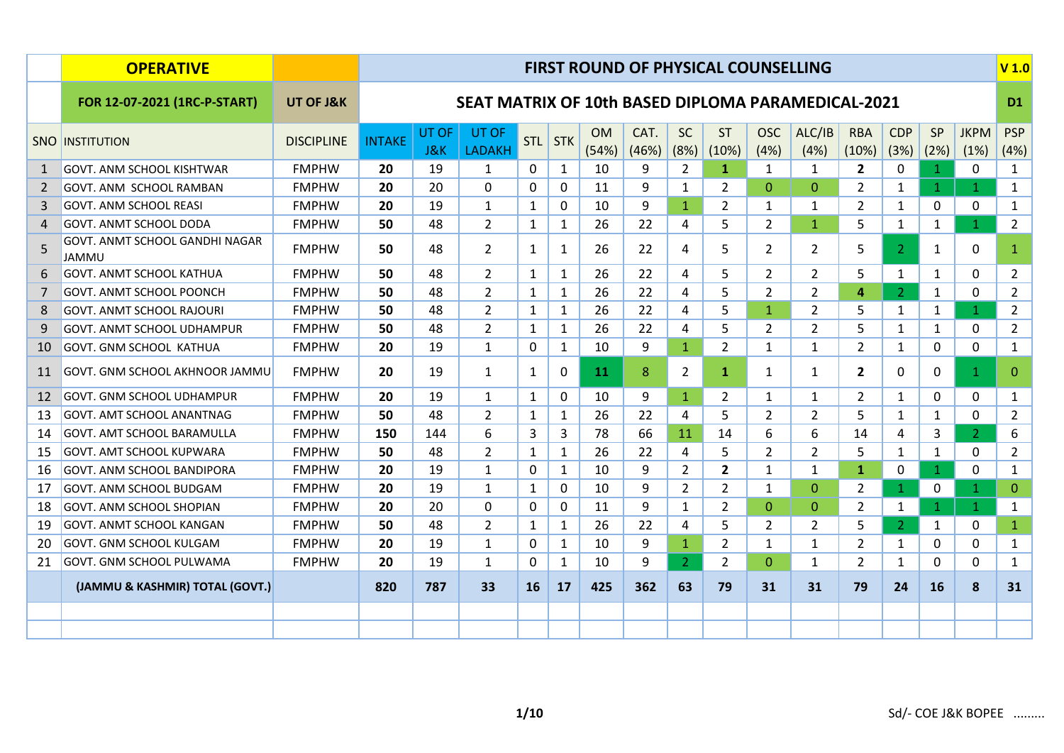|                | <b>OPERATIVE</b>                        |                   |               |                         |                                                           |              |                              |                    |               |                   | <b>FIRST ROUND OF PHYSICAL COUNSELLING</b> |                    |                |                     |                    |                |                     | V <sub>1.0</sub>    |
|----------------|-----------------------------------------|-------------------|---------------|-------------------------|-----------------------------------------------------------|--------------|------------------------------|--------------------|---------------|-------------------|--------------------------------------------|--------------------|----------------|---------------------|--------------------|----------------|---------------------|---------------------|
|                | FOR 12-07-2021 (1RC-P-START)            | UT OF J&K         |               |                         | <b>SEAT MATRIX OF 10th BASED DIPLOMA PARAMEDICAL-2021</b> |              |                              |                    |               |                   |                                            |                    |                |                     |                    |                |                     | D <sub>1</sub>      |
|                | <b>SNO INSTITUTION</b>                  | <b>DISCIPLINE</b> | <b>INTAKE</b> | UT OF<br><b>J&amp;K</b> | UT OF<br><b>LADAKH</b>                                    | <b>STL</b>   | $\overline{\phantom{a}}$ STK | <b>OM</b><br>(54%) | CAT.<br>(46%) | <b>SC</b><br>(8%) | <b>ST</b><br>(10%)                         | <b>OSC</b><br>(4%) | ALC/IB<br>(4%) | <b>RBA</b><br>(10%) | <b>CDP</b><br>(3%) | SP<br>(2%)     | <b>JKPM</b><br>(1%) | <b>PSP</b><br>(4% ) |
| 1              | <b>GOVT. ANM SCHOOL KISHTWAR</b>        | <b>FMPHW</b>      | 20            | 19                      | 1                                                         | 0            | $\mathbf{1}$                 | 10                 | 9             | $\overline{2}$    | $\mathbf{1}$                               | $\mathbf{1}$       | 1              | $\mathbf{2}$        | $\mathbf{0}$       | $\mathbf{1}$   | $\mathbf{0}$        | $\mathbf{1}$        |
| $\overline{2}$ | GOVT. ANM SCHOOL RAMBAN                 | <b>FMPHW</b>      | 20            | 20                      | 0                                                         | $\mathbf{0}$ | 0                            | 11                 | 9             | $\mathbf{1}$      | $\overline{2}$                             | $\mathbf{0}$       | $\mathbf{0}$   | $\overline{2}$      | $\mathbf{1}$       | $\mathbf 1$    | $\mathbf{1}$        | $\mathbf{1}$        |
| 3              | <b>GOVT. ANM SCHOOL REASI</b>           | <b>FMPHW</b>      | 20            | 19                      | $\mathbf{1}$                                              | $\mathbf{1}$ | $\mathbf{0}$                 | 10                 | 9             | $\mathbf{1}$      | $\overline{2}$                             | $\mathbf{1}$       | $\mathbf{1}$   | $\overline{2}$      | $\mathbf{1}$       | $\mathbf{0}$   | $\mathbf{0}$        | $\mathbf{1}$        |
| $\overline{a}$ | <b>GOVT. ANMT SCHOOL DODA</b>           | <b>FMPHW</b>      | 50            | 48                      | $\overline{2}$                                            | 1            | 1                            | 26                 | 22            | 4                 | 5                                          | $\overline{2}$     | $\mathbf{1}$   | 5                   | $\mathbf{1}$       | 1              | $\mathbf{1}$        | $2^{\circ}$         |
| 5              | GOVT. ANMT SCHOOL GANDHI NAGAR<br>JAMMU | <b>FMPHW</b>      | 50            | 48                      | $\overline{2}$                                            | 1            | $\mathbf{1}$                 | 26                 | 22            | 4                 | 5                                          | $\overline{2}$     | $\overline{2}$ | 5                   | 2 <sup>1</sup>     | 1              | 0                   | $\mathbf{1}$        |
| 6              | <b>GOVT. ANMT SCHOOL KATHUA</b>         | <b>FMPHW</b>      | 50            | 48                      | $\overline{2}$                                            | 1            | $\mathbf{1}$                 | 26                 | 22            | 4                 | 5                                          | $\overline{2}$     | $\overline{2}$ | 5                   | $\mathbf{1}$       | 1              | $\mathbf{0}$        | $\overline{2}$      |
| 7              | <b>GOVT. ANMT SCHOOL POONCH</b>         | <b>FMPHW</b>      | 50            | 48                      | $\overline{2}$                                            | 1            | $\mathbf{1}$                 | 26                 | 22            | 4                 | 5                                          | $\overline{2}$     | 2              | 4                   | $\overline{2}$     | 1              | $\mathbf{0}$        | $\overline{2}$      |
| 8              | <b>GOVT. ANMT SCHOOL RAJOURI</b>        | <b>FMPHW</b>      | 50            | 48                      | $\overline{2}$                                            | $\mathbf{1}$ | 1                            | 26                 | 22            | 4                 | 5                                          | $\mathbf{1}$       | 2              | 5                   | $\mathbf{1}$       | 1              | $\mathbf{1}$        | $\overline{2}$      |
| 9              | <b>GOVT. ANMT SCHOOL UDHAMPUR</b>       | <b>FMPHW</b>      | 50            | 48                      | $\overline{2}$                                            | 1            | $\mathbf{1}$                 | 26                 | 22            | 4                 | 5                                          | $\overline{2}$     | $\overline{2}$ | 5                   | $\mathbf{1}$       | 1              | 0                   | $\overline{2}$      |
| 10             | <b>GOVT. GNM SCHOOL KATHUA</b>          | <b>FMPHW</b>      | 20            | 19                      | $\mathbf{1}$                                              | $\mathbf{0}$ | $\mathbf{1}$                 | 10                 | 9             | $\mathbf{1}$      | $\overline{2}$                             | $\mathbf{1}$       | $\mathbf{1}$   | $\overline{2}$      | $\mathbf{1}$       | $\Omega$       | $\mathbf 0$         | $\mathbf{1}$        |
| 11             | GOVT. GNM SCHOOL AKHNOOR JAMMU          | <b>FMPHW</b>      | 20            | 19                      | $\mathbf{1}$                                              | 1            | $\Omega$                     | 11                 | 8             | $\overline{2}$    | $\mathbf{1}$                               | $\mathbf{1}$       | $\mathbf{1}$   | $\overline{2}$      | 0                  | $\Omega$       | $\mathbf{1}$        | $\mathbf{0}$        |
| 12             | GOVT. GNM SCHOOL UDHAMPUR               | <b>FMPHW</b>      | 20            | 19                      | $\mathbf{1}$                                              | $\mathbf{1}$ | 0                            | 10                 | 9             | $\mathbf{1}$      | $\overline{2}$                             | $\mathbf{1}$       | $\mathbf{1}$   | $\overline{2}$      | $\mathbf{1}$       | $\mathbf{0}$   | $\mathbf{0}$        | $\mathbf{1}$        |
| 13             | <b>GOVT. AMT SCHOOL ANANTNAG</b>        | <b>FMPHW</b>      | 50            | 48                      | $\overline{2}$                                            | $\mathbf{1}$ | $\mathbf{1}$                 | 26                 | 22            | 4                 | 5                                          | $\overline{2}$     | $\overline{2}$ | 5                   | $\mathbf{1}$       | 1              | 0                   | $\overline{2}$      |
| 14             | <b>GOVT. AMT SCHOOL BARAMULLA</b>       | <b>FMPHW</b>      | 150           | 144                     | 6                                                         | 3            | 3                            | 78                 | 66            | 11                | 14                                         | 6                  | 6              | 14                  | 4                  | 3              | $\overline{2}$      | 6                   |
| 15             | <b>GOVT. AMT SCHOOL KUPWARA</b>         | <b>FMPHW</b>      | 50            | 48                      | $\overline{2}$                                            | $\mathbf{1}$ | $\mathbf{1}$                 | 26                 | 22            | 4                 | 5                                          | $\overline{2}$     | $\overline{2}$ | 5                   | $\mathbf{1}$       | 1              | $\mathbf{0}$        | $\overline{2}$      |
| 16             | GOVT. ANM SCHOOL BANDIPORA              | <b>FMPHW</b>      | 20            | 19                      | 1                                                         | $\mathbf{0}$ | $\mathbf{1}$                 | 10                 | 9             | $\mathbf{2}$      | $\mathbf{2}$                               | $\mathbf{1}$       | $\mathbf{1}$   | $\mathbf{1}$        | 0                  | $\overline{1}$ | $\Omega$            | $\mathbf{1}$        |
| 17             | <b>GOVT. ANM SCHOOL BUDGAM</b>          | <b>FMPHW</b>      | 20            | 19                      | $\mathbf{1}$                                              | 1            | 0                            | 10                 | 9             | $\overline{2}$    | 2                                          | $\mathbf{1}$       | $\mathbf{0}$   | $\overline{2}$      | $\mathbf{1}$       | 0              | $\mathbf 1$         | $\mathbf{0}$        |
| 18             | GOVT. ANM SCHOOL SHOPIAN                | <b>FMPHW</b>      | 20            | 20                      | 0                                                         | 0            | 0                            | 11                 | 9             | $\mathbf{1}$      | $\overline{2}$                             | $\mathbf{0}$       | $\mathbf{0}$   | $\overline{2}$      | $\mathbf{1}$       | 1              | $\mathbf{1}$        | $\mathbf{1}$        |
| 19             | <b>GOVT. ANMT SCHOOL KANGAN</b>         | <b>FMPHW</b>      | 50            | 48                      | $\overline{2}$                                            | $\mathbf{1}$ | 1                            | 26                 | 22            | 4                 | 5                                          | $\overline{2}$     | 2              | 5                   | $\overline{2}$     | $\mathbf{1}$   | 0                   | $\mathbf{1}$        |
| 20             | <b>GOVT. GNM SCHOOL KULGAM</b>          | <b>FMPHW</b>      | 20            | 19                      | $\mathbf{1}$                                              | $\mathbf{0}$ | $\mathbf{1}$                 | 10                 | 9             | $\mathbf{1}$      | $\overline{2}$                             | $\mathbf{1}$       | $\mathbf{1}$   | $\overline{2}$      | $\mathbf{1}$       | 0              | 0                   | $\mathbf{1}$        |
| 21             | <b>GOVT. GNM SCHOOL PULWAMA</b>         | <b>FMPHW</b>      | 20            | 19                      | $\mathbf{1}$                                              | $\mathbf{0}$ | $\mathbf{1}$                 | 10                 | 9             | $\overline{2}$    | $\overline{2}$                             | $\overline{0}$     | $\mathbf{1}$   | $\overline{2}$      | $\mathbf{1}$       | $\mathbf{0}$   | $\mathbf{0}$        | $\mathbf{1}$        |
|                | (JAMMU & KASHMIR) TOTAL (GOVT.)         |                   | 820           | 787                     | 33                                                        | 16           | 17                           | 425                | 362           | 63                | 79                                         | 31                 | 31             | 79                  | 24                 | 16             | 8                   | 31                  |
|                |                                         |                   |               |                         |                                                           |              |                              |                    |               |                   |                                            |                    |                |                     |                    |                |                     |                     |
|                |                                         |                   |               |                         |                                                           |              |                              |                    |               |                   |                                            |                    |                |                     |                    |                |                     |                     |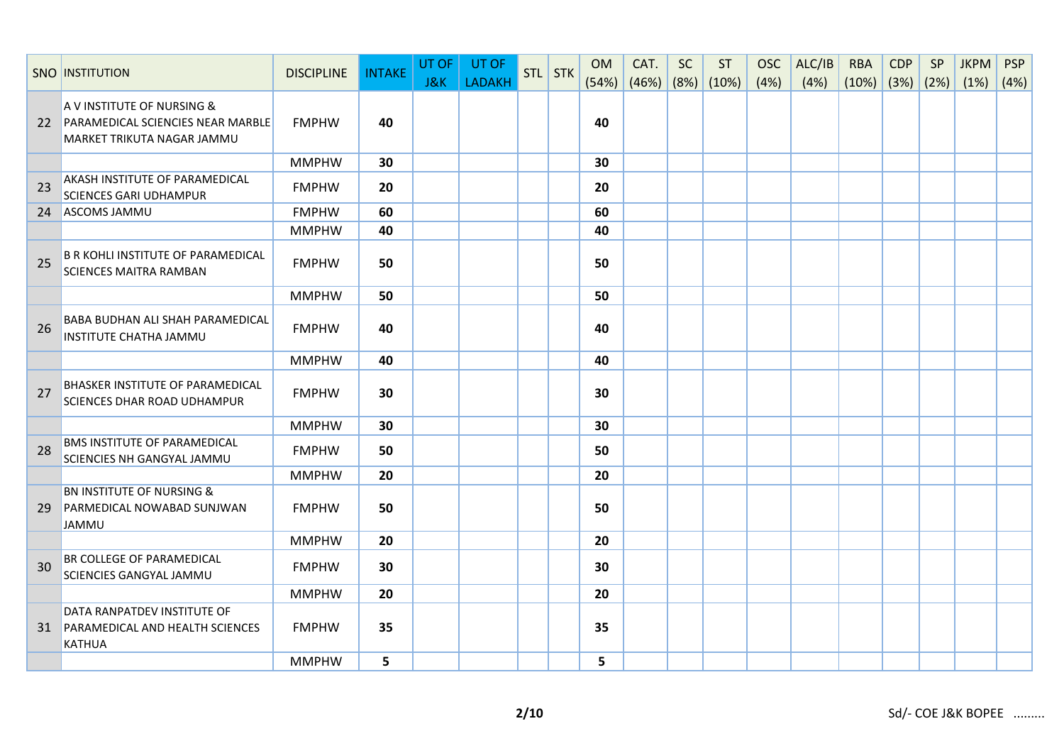|    | <b>SNO INSTITUTION</b>                                                                        | <b>DISCIPLINE</b> | <b>INTAKE</b> | UT OF<br>J&K | UT OF<br><b>LADAKH</b> | STL STK | <b>OM</b><br>(54%) | CAT.<br>(46%) | <b>SC</b> | <b>ST</b><br>(8%) (10%) | <b>OSC</b><br>(4%) | ALC/IB<br>(4%) | <b>RBA</b><br>(10%) | <b>CDP</b> | SP<br>$(3%)$ $(2%)$ | <b>JKPM</b><br>(1%) | <b>PSP</b><br>(4%) |
|----|-----------------------------------------------------------------------------------------------|-------------------|---------------|--------------|------------------------|---------|--------------------|---------------|-----------|-------------------------|--------------------|----------------|---------------------|------------|---------------------|---------------------|--------------------|
| 22 | A V INSTITUTE OF NURSING &<br>PARAMEDICAL SCIENCIES NEAR MARBLE<br>MARKET TRIKUTA NAGAR JAMMU | <b>FMPHW</b>      | 40            |              |                        |         | 40                 |               |           |                         |                    |                |                     |            |                     |                     |                    |
|    |                                                                                               | <b>MMPHW</b>      | 30            |              |                        |         | 30                 |               |           |                         |                    |                |                     |            |                     |                     |                    |
| 23 | <b>AKASH INSTITUTE OF PARAMEDICAL</b><br><b>SCIENCES GARI UDHAMPUR</b>                        | <b>FMPHW</b>      | 20            |              |                        |         | 20                 |               |           |                         |                    |                |                     |            |                     |                     |                    |
| 24 | ASCOMS JAMMU                                                                                  | <b>FMPHW</b>      | 60            |              |                        |         | 60                 |               |           |                         |                    |                |                     |            |                     |                     |                    |
|    |                                                                                               | <b>MMPHW</b>      | 40            |              |                        |         | 40                 |               |           |                         |                    |                |                     |            |                     |                     |                    |
| 25 | <b>B R KOHLI INSTITUTE OF PARAMEDICAL</b><br><b>SCIENCES MAITRA RAMBAN</b>                    | <b>FMPHW</b>      | 50            |              |                        |         | 50                 |               |           |                         |                    |                |                     |            |                     |                     |                    |
|    |                                                                                               | <b>MMPHW</b>      | 50            |              |                        |         | 50                 |               |           |                         |                    |                |                     |            |                     |                     |                    |
| 26 | BABA BUDHAN ALI SHAH PARAMEDICAL<br>INSTITUTE CHATHA JAMMU                                    | <b>FMPHW</b>      | 40            |              |                        |         | 40                 |               |           |                         |                    |                |                     |            |                     |                     |                    |
|    |                                                                                               | <b>MMPHW</b>      | 40            |              |                        |         | 40                 |               |           |                         |                    |                |                     |            |                     |                     |                    |
| 27 | <b>BHASKER INSTITUTE OF PARAMEDICAL</b><br><b>SCIENCES DHAR ROAD UDHAMPUR</b>                 | <b>FMPHW</b>      | 30            |              |                        |         | 30                 |               |           |                         |                    |                |                     |            |                     |                     |                    |
|    |                                                                                               | <b>MMPHW</b>      | 30            |              |                        |         | 30                 |               |           |                         |                    |                |                     |            |                     |                     |                    |
| 28 | <b>BMS INSTITUTE OF PARAMEDICAL</b><br><b>SCIENCIES NH GANGYAL JAMMU</b>                      | <b>FMPHW</b>      | 50            |              |                        |         | 50                 |               |           |                         |                    |                |                     |            |                     |                     |                    |
|    |                                                                                               | <b>MMPHW</b>      | 20            |              |                        |         | 20                 |               |           |                         |                    |                |                     |            |                     |                     |                    |
| 29 | <b>BN INSTITUTE OF NURSING &amp;</b><br>PARMEDICAL NOWABAD SUNJWAN<br><b>JAMMU</b>            | <b>FMPHW</b>      | 50            |              |                        |         | 50                 |               |           |                         |                    |                |                     |            |                     |                     |                    |
|    |                                                                                               | <b>MMPHW</b>      | 20            |              |                        |         | 20                 |               |           |                         |                    |                |                     |            |                     |                     |                    |
| 30 | BR COLLEGE OF PARAMEDICAL<br><b>SCIENCIES GANGYAL JAMMU</b>                                   | <b>FMPHW</b>      | 30            |              |                        |         | 30                 |               |           |                         |                    |                |                     |            |                     |                     |                    |
|    |                                                                                               | <b>MMPHW</b>      | 20            |              |                        |         | 20                 |               |           |                         |                    |                |                     |            |                     |                     |                    |
| 31 | DATA RANPATDEV INSTITUTE OF<br>PARAMEDICAL AND HEALTH SCIENCES<br>KATHUA                      | <b>FMPHW</b>      | 35            |              |                        |         | 35                 |               |           |                         |                    |                |                     |            |                     |                     |                    |
|    |                                                                                               | <b>MMPHW</b>      | 5             |              |                        |         | 5                  |               |           |                         |                    |                |                     |            |                     |                     |                    |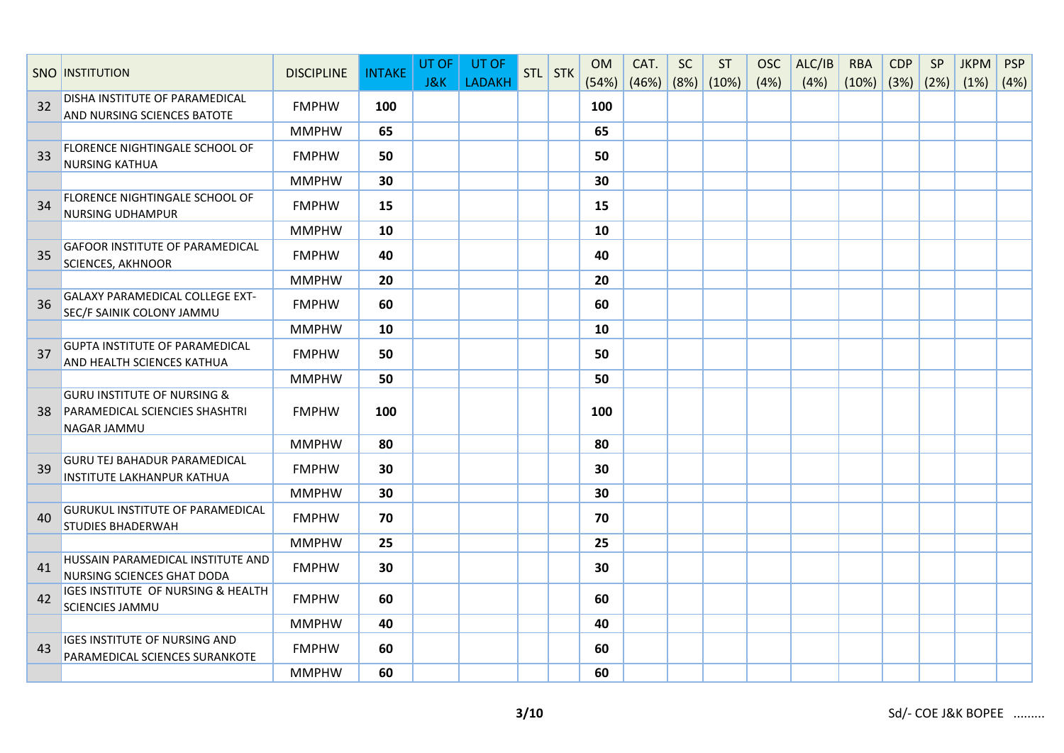|    | <b>SNO INSTITUTION</b>                                                                         | <b>DISCIPLINE</b> | <b>INTAKE</b> | UT OF<br><b>J&amp;K</b> | UT OF<br><b>LADAKH</b> | STL STK | <b>OM</b><br>(54%) | CAT.<br>$(46%)$ (8%) (10%) | <b>SC</b> | <b>ST</b> | <b>OSC</b><br>(4%) | ALC/IB<br>(4%) | <b>RBA</b><br>$(10\%)$ (3%) (2%) | <b>CDP</b> | SP | <b>JKPM</b><br>(1%) | <b>PSP</b><br>(4%) |
|----|------------------------------------------------------------------------------------------------|-------------------|---------------|-------------------------|------------------------|---------|--------------------|----------------------------|-----------|-----------|--------------------|----------------|----------------------------------|------------|----|---------------------|--------------------|
| 32 | DISHA INSTITUTE OF PARAMEDICAL                                                                 | <b>FMPHW</b>      | 100           |                         |                        |         | 100                |                            |           |           |                    |                |                                  |            |    |                     |                    |
|    | AND NURSING SCIENCES BATOTE                                                                    | <b>MMPHW</b>      | 65            |                         |                        |         | 65                 |                            |           |           |                    |                |                                  |            |    |                     |                    |
| 33 | FLORENCE NIGHTINGALE SCHOOL OF<br><b>NURSING KATHUA</b>                                        | <b>FMPHW</b>      | 50            |                         |                        |         | 50                 |                            |           |           |                    |                |                                  |            |    |                     |                    |
|    |                                                                                                | <b>MMPHW</b>      | 30            |                         |                        |         | 30                 |                            |           |           |                    |                |                                  |            |    |                     |                    |
| 34 | FLORENCE NIGHTINGALE SCHOOL OF<br><b>NURSING UDHAMPUR</b>                                      | <b>FMPHW</b>      | 15            |                         |                        |         | 15                 |                            |           |           |                    |                |                                  |            |    |                     |                    |
|    |                                                                                                | <b>MMPHW</b>      | 10            |                         |                        |         | 10                 |                            |           |           |                    |                |                                  |            |    |                     |                    |
| 35 | <b>GAFOOR INSTITUTE OF PARAMEDICAL</b><br><b>SCIENCES, AKHNOOR</b>                             | <b>FMPHW</b>      | 40            |                         |                        |         | 40                 |                            |           |           |                    |                |                                  |            |    |                     |                    |
|    |                                                                                                | <b>MMPHW</b>      | 20            |                         |                        |         | 20                 |                            |           |           |                    |                |                                  |            |    |                     |                    |
| 36 | <b>GALAXY PARAMEDICAL COLLEGE EXT-</b><br>SEC/F SAINIK COLONY JAMMU                            | <b>FMPHW</b>      | 60            |                         |                        |         | 60                 |                            |           |           |                    |                |                                  |            |    |                     |                    |
|    |                                                                                                | <b>MMPHW</b>      | 10            |                         |                        |         | 10                 |                            |           |           |                    |                |                                  |            |    |                     |                    |
| 37 | <b>GUPTA INSTITUTE OF PARAMEDICAL</b><br><b>AND HEALTH SCIENCES KATHUA</b>                     | <b>FMPHW</b>      | 50            |                         |                        |         | 50                 |                            |           |           |                    |                |                                  |            |    |                     |                    |
|    |                                                                                                | <b>MMPHW</b>      | 50            |                         |                        |         | 50                 |                            |           |           |                    |                |                                  |            |    |                     |                    |
| 38 | <b>GURU INSTITUTE OF NURSING &amp;</b><br>PARAMEDICAL SCIENCIES SHASHTRI<br><b>NAGAR JAMMU</b> | <b>FMPHW</b>      | 100           |                         |                        |         | 100                |                            |           |           |                    |                |                                  |            |    |                     |                    |
|    |                                                                                                | <b>MMPHW</b>      | 80            |                         |                        |         | 80                 |                            |           |           |                    |                |                                  |            |    |                     |                    |
| 39 | <b>GURU TEJ BAHADUR PARAMEDICAL</b><br><b>INSTITUTE LAKHANPUR KATHUA</b>                       | <b>FMPHW</b>      | 30            |                         |                        |         | 30                 |                            |           |           |                    |                |                                  |            |    |                     |                    |
|    |                                                                                                | <b>MMPHW</b>      | 30            |                         |                        |         | 30                 |                            |           |           |                    |                |                                  |            |    |                     |                    |
| 40 | <b>GURUKUL INSTITUTE OF PARAMEDICAL</b><br><b>STUDIES BHADERWAH</b>                            | <b>FMPHW</b>      | 70            |                         |                        |         | 70                 |                            |           |           |                    |                |                                  |            |    |                     |                    |
|    |                                                                                                | <b>MMPHW</b>      | 25            |                         |                        |         | 25                 |                            |           |           |                    |                |                                  |            |    |                     |                    |
| 41 | HUSSAIN PARAMEDICAL INSTITUTE AND<br>NURSING SCIENCES GHAT DODA                                | <b>FMPHW</b>      | 30            |                         |                        |         | 30                 |                            |           |           |                    |                |                                  |            |    |                     |                    |
| 42 | IGES INSTITUTE OF NURSING & HEALTH<br><b>SCIENCIES JAMMU</b>                                   | <b>FMPHW</b>      | 60            |                         |                        |         | 60                 |                            |           |           |                    |                |                                  |            |    |                     |                    |
|    |                                                                                                | <b>MMPHW</b>      | 40            |                         |                        |         | 40                 |                            |           |           |                    |                |                                  |            |    |                     |                    |
| 43 | <b>IGES INSTITUTE OF NURSING AND</b><br>PARAMEDICAL SCIENCES SURANKOTE                         | <b>FMPHW</b>      | 60            |                         |                        |         | 60                 |                            |           |           |                    |                |                                  |            |    |                     |                    |
|    |                                                                                                | <b>MMPHW</b>      | 60            |                         |                        |         | 60                 |                            |           |           |                    |                |                                  |            |    |                     |                    |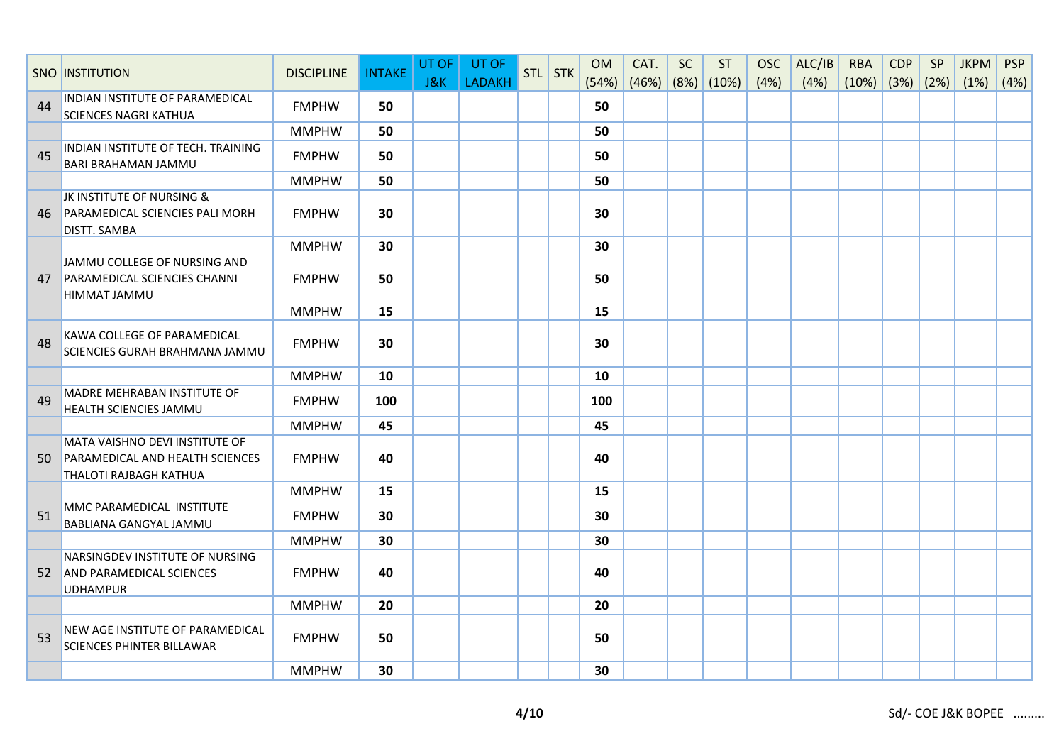|    | <b>SNO INSTITUTION</b>                                                                                    | <b>DISCIPLINE</b> | <b>INTAKE</b> | UT OF<br>J&K | UT OF<br><b>LADAKH</b> | STL STK | <b>OM</b><br>(54%) | CAT.<br>$(46%)$ (8%) (10%) | <b>SC</b> | <b>ST</b> | <b>OSC</b><br>(4%) | ALC/IB<br>(4%) | <b>RBA</b><br>$(10\%)$ (3%) (2%) | <b>CDP</b> | SP | <b>JKPM</b><br>(1%) | <b>PSP</b><br>(4%) |
|----|-----------------------------------------------------------------------------------------------------------|-------------------|---------------|--------------|------------------------|---------|--------------------|----------------------------|-----------|-----------|--------------------|----------------|----------------------------------|------------|----|---------------------|--------------------|
| 44 | INDIAN INSTITUTE OF PARAMEDICAL<br><b>SCIENCES NAGRI KATHUA</b>                                           | <b>FMPHW</b>      | 50            |              |                        |         | 50                 |                            |           |           |                    |                |                                  |            |    |                     |                    |
|    |                                                                                                           | <b>MMPHW</b>      | 50            |              |                        |         | 50                 |                            |           |           |                    |                |                                  |            |    |                     |                    |
| 45 | INDIAN INSTITUTE OF TECH. TRAINING<br>BARI BRAHAMAN JAMMU                                                 | <b>FMPHW</b>      | 50            |              |                        |         | 50                 |                            |           |           |                    |                |                                  |            |    |                     |                    |
|    |                                                                                                           | <b>MMPHW</b>      | 50            |              |                        |         | 50                 |                            |           |           |                    |                |                                  |            |    |                     |                    |
| 46 | JK INSTITUTE OF NURSING &<br>PARAMEDICAL SCIENCIES PALI MORH<br><b>DISTT. SAMBA</b>                       | <b>FMPHW</b>      | 30            |              |                        |         | 30                 |                            |           |           |                    |                |                                  |            |    |                     |                    |
|    |                                                                                                           | <b>MMPHW</b>      | 30            |              |                        |         | 30                 |                            |           |           |                    |                |                                  |            |    |                     |                    |
| 47 | JAMMU COLLEGE OF NURSING AND<br>PARAMEDICAL SCIENCIES CHANNI<br>HIMMAT JAMMU                              | <b>FMPHW</b>      | 50            |              |                        |         | 50                 |                            |           |           |                    |                |                                  |            |    |                     |                    |
|    |                                                                                                           | <b>MMPHW</b>      | 15            |              |                        |         | 15                 |                            |           |           |                    |                |                                  |            |    |                     |                    |
| 48 | KAWA COLLEGE OF PARAMEDICAL<br>SCIENCIES GURAH BRAHMANA JAMMU                                             | <b>FMPHW</b>      | 30            |              |                        |         | 30                 |                            |           |           |                    |                |                                  |            |    |                     |                    |
|    |                                                                                                           | <b>MMPHW</b>      | 10            |              |                        |         | 10                 |                            |           |           |                    |                |                                  |            |    |                     |                    |
| 49 | <b>MADRE MEHRABAN INSTITUTE OF</b><br>HEALTH SCIENCIES JAMMU                                              | <b>FMPHW</b>      | 100           |              |                        |         | 100                |                            |           |           |                    |                |                                  |            |    |                     |                    |
|    |                                                                                                           | <b>MMPHW</b>      | 45            |              |                        |         | 45                 |                            |           |           |                    |                |                                  |            |    |                     |                    |
| 50 | MATA VAISHNO DEVI INSTITUTE OF<br><b>PARAMEDICAL AND HEALTH SCIENCES</b><br><b>THALOTI RAJBAGH KATHUA</b> | <b>FMPHW</b>      | 40            |              |                        |         | 40                 |                            |           |           |                    |                |                                  |            |    |                     |                    |
|    |                                                                                                           | <b>MMPHW</b>      | 15            |              |                        |         | 15                 |                            |           |           |                    |                |                                  |            |    |                     |                    |
| 51 | MMC PARAMEDICAL INSTITUTE<br>BABLIANA GANGYAL JAMMU                                                       | <b>FMPHW</b>      | 30            |              |                        |         | 30                 |                            |           |           |                    |                |                                  |            |    |                     |                    |
|    |                                                                                                           | <b>MMPHW</b>      | 30            |              |                        |         | 30                 |                            |           |           |                    |                |                                  |            |    |                     |                    |
|    | NARSINGDEV INSTITUTE OF NURSING<br>52 AND PARAMEDICAL SCIENCES<br><b>UDHAMPUR</b>                         | <b>FMPHW</b>      | 40            |              |                        |         | 40                 |                            |           |           |                    |                |                                  |            |    |                     |                    |
|    |                                                                                                           | <b>MMPHW</b>      | 20            |              |                        |         | 20                 |                            |           |           |                    |                |                                  |            |    |                     |                    |
| 53 | NEW AGE INSTITUTE OF PARAMEDICAL<br><b>SCIENCES PHINTER BILLAWAR</b>                                      | <b>FMPHW</b>      | 50            |              |                        |         | 50                 |                            |           |           |                    |                |                                  |            |    |                     |                    |
|    |                                                                                                           | <b>MMPHW</b>      | 30            |              |                        |         | 30                 |                            |           |           |                    |                |                                  |            |    |                     |                    |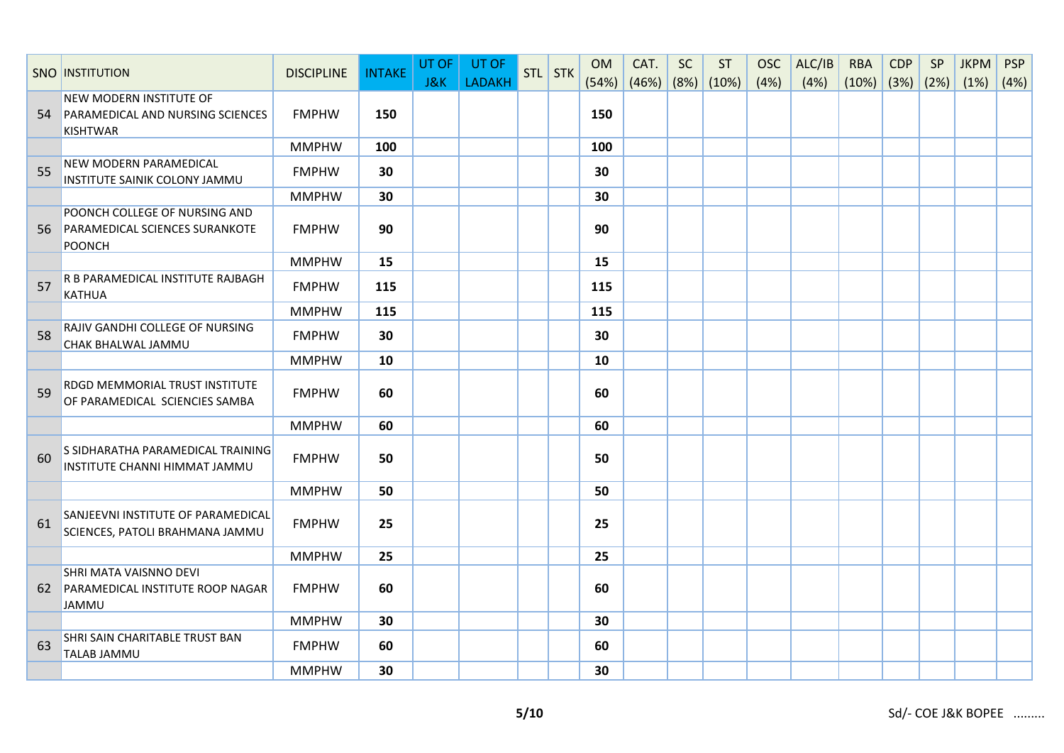|    | <b>SNO INSTITUTION</b>                                                                       | <b>DISCIPLINE</b> | <b>INTAKE</b> | UT OF<br>J&K | UT OF<br><b>LADAKH</b> | STL STK | <b>OM</b><br>(54%) | CAT.<br>(46%) | <b>SC</b> | <b>ST</b><br>(8%) (10%) | <b>OSC</b><br>(4%) | ALC/IB<br>(4%) | <b>RBA</b><br>$(10\%)$ (3%) (2%) | <b>CDP</b> | SP | <b>JKPM</b><br>(1%) | <b>PSP</b><br>(4%) |
|----|----------------------------------------------------------------------------------------------|-------------------|---------------|--------------|------------------------|---------|--------------------|---------------|-----------|-------------------------|--------------------|----------------|----------------------------------|------------|----|---------------------|--------------------|
| 54 | <b>NEW MODERN INSTITUTE OF</b><br><b>PARAMEDICAL AND NURSING SCIENCES</b><br><b>KISHTWAR</b> | <b>FMPHW</b>      | 150           |              |                        |         | 150                |               |           |                         |                    |                |                                  |            |    |                     |                    |
|    |                                                                                              | <b>MMPHW</b>      | 100           |              |                        |         | 100                |               |           |                         |                    |                |                                  |            |    |                     |                    |
| 55 | NEW MODERN PARAMEDICAL<br>INSTITUTE SAINIK COLONY JAMMU                                      | <b>FMPHW</b>      | 30            |              |                        |         | 30                 |               |           |                         |                    |                |                                  |            |    |                     |                    |
|    |                                                                                              | <b>MMPHW</b>      | 30            |              |                        |         | 30                 |               |           |                         |                    |                |                                  |            |    |                     |                    |
|    | POONCH COLLEGE OF NURSING AND<br>56 PARAMEDICAL SCIENCES SURANKOTE<br><b>POONCH</b>          | <b>FMPHW</b>      | 90            |              |                        |         | 90                 |               |           |                         |                    |                |                                  |            |    |                     |                    |
|    |                                                                                              | <b>MMPHW</b>      | 15            |              |                        |         | 15                 |               |           |                         |                    |                |                                  |            |    |                     |                    |
| 57 | R B PARAMEDICAL INSTITUTE RAJBAGH<br><b>KATHUA</b>                                           | <b>FMPHW</b>      | 115           |              |                        |         | 115                |               |           |                         |                    |                |                                  |            |    |                     |                    |
|    |                                                                                              | <b>MMPHW</b>      | 115           |              |                        |         | 115                |               |           |                         |                    |                |                                  |            |    |                     |                    |
| 58 | RAJIV GANDHI COLLEGE OF NURSING<br>CHAK BHALWAL JAMMU                                        | <b>FMPHW</b>      | 30            |              |                        |         | 30                 |               |           |                         |                    |                |                                  |            |    |                     |                    |
|    |                                                                                              | <b>MMPHW</b>      | 10            |              |                        |         | 10                 |               |           |                         |                    |                |                                  |            |    |                     |                    |
| 59 | RDGD MEMMORIAL TRUST INSTITUTE<br>OF PARAMEDICAL SCIENCIES SAMBA                             | <b>FMPHW</b>      | 60            |              |                        |         | 60                 |               |           |                         |                    |                |                                  |            |    |                     |                    |
|    |                                                                                              | <b>MMPHW</b>      | 60            |              |                        |         | 60                 |               |           |                         |                    |                |                                  |            |    |                     |                    |
| 60 | S SIDHARATHA PARAMEDICAL TRAINING<br>INSTITUTE CHANNI HIMMAT JAMMU                           | <b>FMPHW</b>      | 50            |              |                        |         | 50                 |               |           |                         |                    |                |                                  |            |    |                     |                    |
|    |                                                                                              | <b>MMPHW</b>      | 50            |              |                        |         | 50                 |               |           |                         |                    |                |                                  |            |    |                     |                    |
| 61 | SANJEEVNI INSTITUTE OF PARAMEDICAL<br>SCIENCES, PATOLI BRAHMANA JAMMU                        | <b>FMPHW</b>      | 25            |              |                        |         | 25                 |               |           |                         |                    |                |                                  |            |    |                     |                    |
|    |                                                                                              | <b>MMPHW</b>      | 25            |              |                        |         | 25                 |               |           |                         |                    |                |                                  |            |    |                     |                    |
|    | SHRI MATA VAISNNO DEVI<br>62 PARAMEDICAL INSTITUTE ROOP NAGAR<br><b>JAMMU</b>                | <b>FMPHW</b>      | 60            |              |                        |         | 60                 |               |           |                         |                    |                |                                  |            |    |                     |                    |
|    |                                                                                              | <b>MMPHW</b>      | 30            |              |                        |         | 30                 |               |           |                         |                    |                |                                  |            |    |                     |                    |
| 63 | SHRI SAIN CHARITABLE TRUST BAN<br><b>TALAB JAMMU</b>                                         | <b>FMPHW</b>      | 60            |              |                        |         | 60                 |               |           |                         |                    |                |                                  |            |    |                     |                    |
|    |                                                                                              | <b>MMPHW</b>      | 30            |              |                        |         | 30                 |               |           |                         |                    |                |                                  |            |    |                     |                    |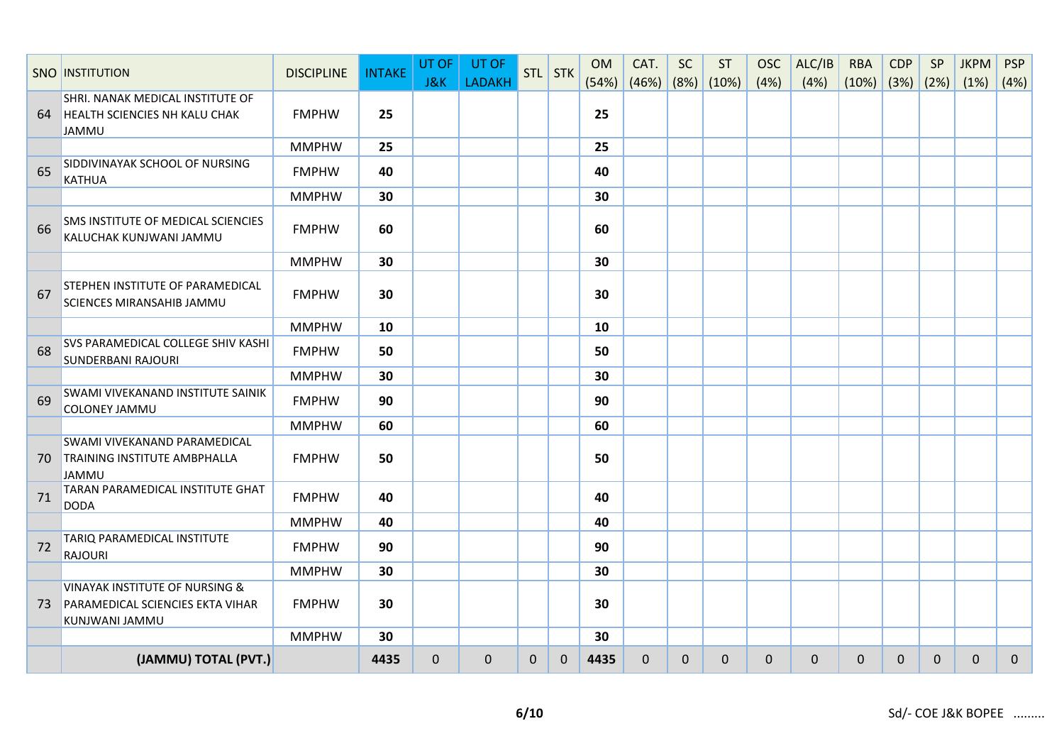|    | <b>SNO INSTITUTION</b>                                                                          | <b>DISCIPLINE</b> | <b>INTAKE</b> | UT OF<br>J&K | UT OF<br><b>LADAKH</b> |             | STL STK      | <b>OM</b><br>(54%) | CAT.<br>(46%) | <b>SC</b>    | <b>ST</b><br>$(8\%)$ (10%) | <b>OSC</b><br>(4% ) | ALC/IB<br>(4%) | <b>RBA</b><br>(10%) | <b>CDP</b><br>(3%) (2%) | SP          | <b>JKPM</b><br>(1%) | <b>PSP</b><br>(4%) |
|----|-------------------------------------------------------------------------------------------------|-------------------|---------------|--------------|------------------------|-------------|--------------|--------------------|---------------|--------------|----------------------------|---------------------|----------------|---------------------|-------------------------|-------------|---------------------|--------------------|
| 64 | SHRI. NANAK MEDICAL INSTITUTE OF<br><b>HEALTH SCIENCIES NH KALU CHAK</b><br><b>JAMMU</b>        | <b>FMPHW</b>      | 25            |              |                        |             |              | 25                 |               |              |                            |                     |                |                     |                         |             |                     |                    |
|    |                                                                                                 | <b>MMPHW</b>      | 25            |              |                        |             |              | 25                 |               |              |                            |                     |                |                     |                         |             |                     |                    |
| 65 | SIDDIVINAYAK SCHOOL OF NURSING<br><b>KATHUA</b>                                                 | <b>FMPHW</b>      | 40            |              |                        |             |              | 40                 |               |              |                            |                     |                |                     |                         |             |                     |                    |
|    |                                                                                                 | <b>MMPHW</b>      | 30            |              |                        |             |              | 30                 |               |              |                            |                     |                |                     |                         |             |                     |                    |
| 66 | SMS INSTITUTE OF MEDICAL SCIENCIES<br>KALUCHAK KUNJWANI JAMMU                                   | <b>FMPHW</b>      | 60            |              |                        |             |              | 60                 |               |              |                            |                     |                |                     |                         |             |                     |                    |
|    |                                                                                                 | <b>MMPHW</b>      | 30            |              |                        |             |              | 30                 |               |              |                            |                     |                |                     |                         |             |                     |                    |
| 67 | STEPHEN INSTITUTE OF PARAMEDICAL<br>SCIENCES MIRANSAHIB JAMMU                                   | <b>FMPHW</b>      | 30            |              |                        |             |              | 30                 |               |              |                            |                     |                |                     |                         |             |                     |                    |
|    |                                                                                                 | <b>MMPHW</b>      | 10            |              |                        |             |              | 10                 |               |              |                            |                     |                |                     |                         |             |                     |                    |
| 68 | SVS PARAMEDICAL COLLEGE SHIV KASHI<br><b>SUNDERBANI RAJOURI</b>                                 | <b>FMPHW</b>      | 50            |              |                        |             |              | 50                 |               |              |                            |                     |                |                     |                         |             |                     |                    |
|    |                                                                                                 | <b>MMPHW</b>      | 30            |              |                        |             |              | 30                 |               |              |                            |                     |                |                     |                         |             |                     |                    |
| 69 | SWAMI VIVEKANAND INSTITUTE SAINIK<br>COLONEY JAMMU                                              | <b>FMPHW</b>      | 90            |              |                        |             |              | 90                 |               |              |                            |                     |                |                     |                         |             |                     |                    |
|    |                                                                                                 | <b>MMPHW</b>      | 60            |              |                        |             |              | 60                 |               |              |                            |                     |                |                     |                         |             |                     |                    |
| 70 | SWAMI VIVEKANAND PARAMEDICAL<br><b>TRAINING INSTITUTE AMBPHALLA</b><br><b>JAMMU</b>             | <b>FMPHW</b>      | 50            |              |                        |             |              | 50                 |               |              |                            |                     |                |                     |                         |             |                     |                    |
| 71 | TARAN PARAMEDICAL INSTITUTE GHAT<br><b>DODA</b>                                                 | <b>FMPHW</b>      | 40            |              |                        |             |              | 40                 |               |              |                            |                     |                |                     |                         |             |                     |                    |
|    |                                                                                                 | <b>MMPHW</b>      | 40            |              |                        |             |              | 40                 |               |              |                            |                     |                |                     |                         |             |                     |                    |
| 72 | TARIQ PARAMEDICAL INSTITUTE<br><b>RAJOURI</b>                                                   | <b>FMPHW</b>      | 90            |              |                        |             |              | 90                 |               |              |                            |                     |                |                     |                         |             |                     |                    |
|    |                                                                                                 | <b>MMPHW</b>      | 30            |              |                        |             |              | 30                 |               |              |                            |                     |                |                     |                         |             |                     |                    |
| 73 | <b>VINAYAK INSTITUTE OF NURSING &amp;</b><br>PARAMEDICAL SCIENCIES EKTA VIHAR<br>KUNJWANI JAMMU | <b>FMPHW</b>      | 30            |              |                        |             |              | 30                 |               |              |                            |                     |                |                     |                         |             |                     |                    |
|    |                                                                                                 | <b>MMPHW</b>      | 30            |              |                        |             |              | 30                 |               |              |                            |                     |                |                     |                         |             |                     |                    |
|    | (JAMMU) TOTAL (PVT.)                                                                            |                   | 4435          | $\mathbf 0$  | $\mathbf 0$            | $\mathbf 0$ | $\mathbf{0}$ | 4435               | $\mathbf 0$   | $\mathbf{0}$ | $\Omega$                   | $\mathbf 0$         | $\mathbf 0$    | $\mathbf 0$         | $\mathbf{0}$            | $\mathbf 0$ | $\mathbf 0$         | $\mathbf 0$        |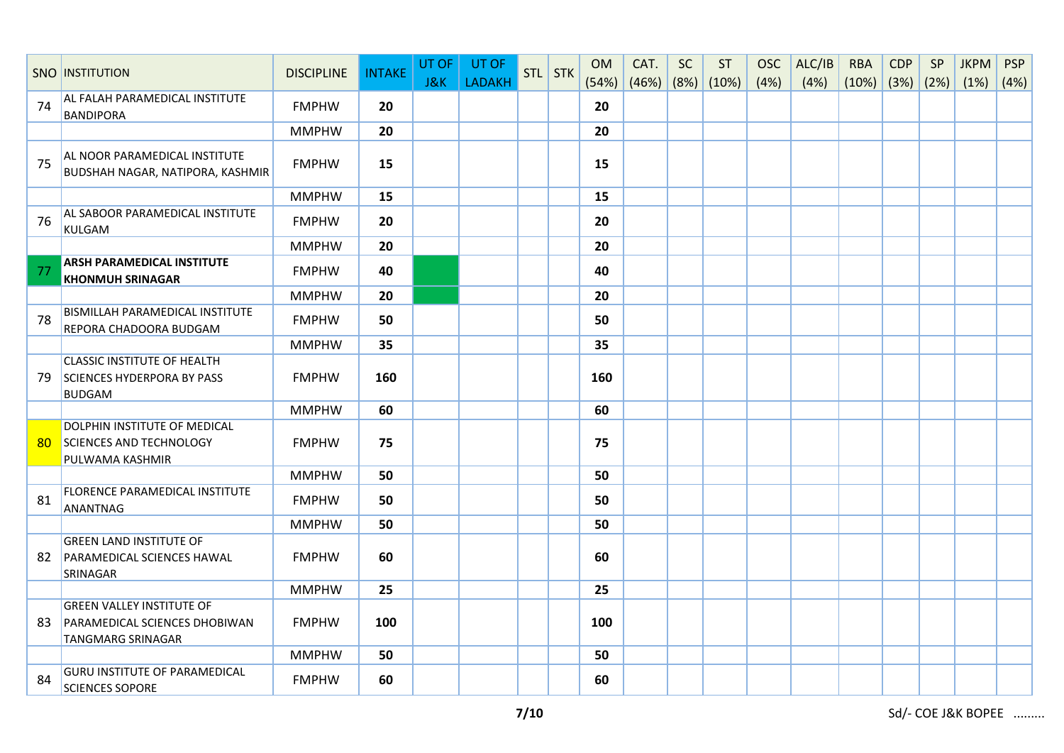|                 | <b>SNO INSTITUTION</b>                                                                        | <b>DISCIPLINE</b> | <b>INTAKE</b> | UT OF          | UT OF         | STL STK | <b>OM</b> | CAT.               | <b>SC</b> | ST | <b>OSC</b> | ALC/IB | <b>RBA</b>         | <b>CDP</b> | SP | <b>JKPM</b> | <b>PSP</b> |
|-----------------|-----------------------------------------------------------------------------------------------|-------------------|---------------|----------------|---------------|---------|-----------|--------------------|-----------|----|------------|--------|--------------------|------------|----|-------------|------------|
|                 |                                                                                               |                   |               | <b>J&amp;K</b> | <b>LADAKH</b> |         | (54%)     | $(46%)$ (8%) (10%) |           |    | (4%)       | (4%)   | $(10\%)$ (3%) (2%) |            |    | (1%)        | (4%)       |
| 74              | AL FALAH PARAMEDICAL INSTITUTE<br><b>BANDIPORA</b>                                            | <b>FMPHW</b>      | 20            |                |               |         | 20        |                    |           |    |            |        |                    |            |    |             |            |
|                 |                                                                                               | <b>MMPHW</b>      | 20            |                |               |         | 20        |                    |           |    |            |        |                    |            |    |             |            |
| 75              | AL NOOR PARAMEDICAL INSTITUTE<br>BUDSHAH NAGAR, NATIPORA, KASHMIR                             | <b>FMPHW</b>      | 15            |                |               |         | 15        |                    |           |    |            |        |                    |            |    |             |            |
|                 |                                                                                               | <b>MMPHW</b>      | 15            |                |               |         | 15        |                    |           |    |            |        |                    |            |    |             |            |
| 76              | AL SABOOR PARAMEDICAL INSTITUTE<br><b>KULGAM</b>                                              | <b>FMPHW</b>      | 20            |                |               |         | 20        |                    |           |    |            |        |                    |            |    |             |            |
|                 |                                                                                               | <b>MMPHW</b>      | 20            |                |               |         | 20        |                    |           |    |            |        |                    |            |    |             |            |
| 77              | <b>ARSH PARAMEDICAL INSTITUTE</b><br><b>KHONMUH SRINAGAR</b>                                  | <b>FMPHW</b>      | 40            |                |               |         | 40        |                    |           |    |            |        |                    |            |    |             |            |
|                 |                                                                                               | <b>MMPHW</b>      | 20            |                |               |         | 20        |                    |           |    |            |        |                    |            |    |             |            |
| 78              | <b>BISMILLAH PARAMEDICAL INSTITUTE</b><br>REPORA CHADOORA BUDGAM                              | <b>FMPHW</b>      | 50            |                |               |         | 50        |                    |           |    |            |        |                    |            |    |             |            |
|                 |                                                                                               | <b>MMPHW</b>      | 35            |                |               |         | 35        |                    |           |    |            |        |                    |            |    |             |            |
| 79              | <b>CLASSIC INSTITUTE OF HEALTH</b><br><b>SCIENCES HYDERPORA BY PASS</b><br><b>BUDGAM</b>      | <b>FMPHW</b>      | 160           |                |               |         | 160       |                    |           |    |            |        |                    |            |    |             |            |
|                 |                                                                                               | <b>MMPHW</b>      | 60            |                |               |         | 60        |                    |           |    |            |        |                    |            |    |             |            |
| 80 <sub>o</sub> | <b>DOLPHIN INSTITUTE OF MEDICAL</b><br><b>SCIENCES AND TECHNOLOGY</b><br>PULWAMA KASHMIR      | <b>FMPHW</b>      | 75            |                |               |         | 75        |                    |           |    |            |        |                    |            |    |             |            |
|                 |                                                                                               | <b>MMPHW</b>      | 50            |                |               |         | 50        |                    |           |    |            |        |                    |            |    |             |            |
| 81              | FLORENCE PARAMEDICAL INSTITUTE<br>ANANTNAG                                                    | <b>FMPHW</b>      | 50            |                |               |         | 50        |                    |           |    |            |        |                    |            |    |             |            |
|                 |                                                                                               | <b>MMPHW</b>      | 50            |                |               |         | 50        |                    |           |    |            |        |                    |            |    |             |            |
| 82              | <b>GREEN LAND INSTITUTE OF</b><br>PARAMEDICAL SCIENCES HAWAL<br>SRINAGAR                      | <b>FMPHW</b>      | 60            |                |               |         | 60        |                    |           |    |            |        |                    |            |    |             |            |
|                 |                                                                                               | <b>MMPHW</b>      | 25            |                |               |         | 25        |                    |           |    |            |        |                    |            |    |             |            |
| 83              | <b>GREEN VALLEY INSTITUTE OF</b><br>PARAMEDICAL SCIENCES DHOBIWAN<br><b>TANGMARG SRINAGAR</b> | <b>FMPHW</b>      | 100           |                |               |         | 100       |                    |           |    |            |        |                    |            |    |             |            |
|                 |                                                                                               | <b>MMPHW</b>      | 50            |                |               |         | 50        |                    |           |    |            |        |                    |            |    |             |            |
| 84              | <b>GURU INSTITUTE OF PARAMEDICAL</b><br><b>SCIENCES SOPORE</b>                                | <b>FMPHW</b>      | 60            |                |               |         | 60        |                    |           |    |            |        |                    |            |    |             |            |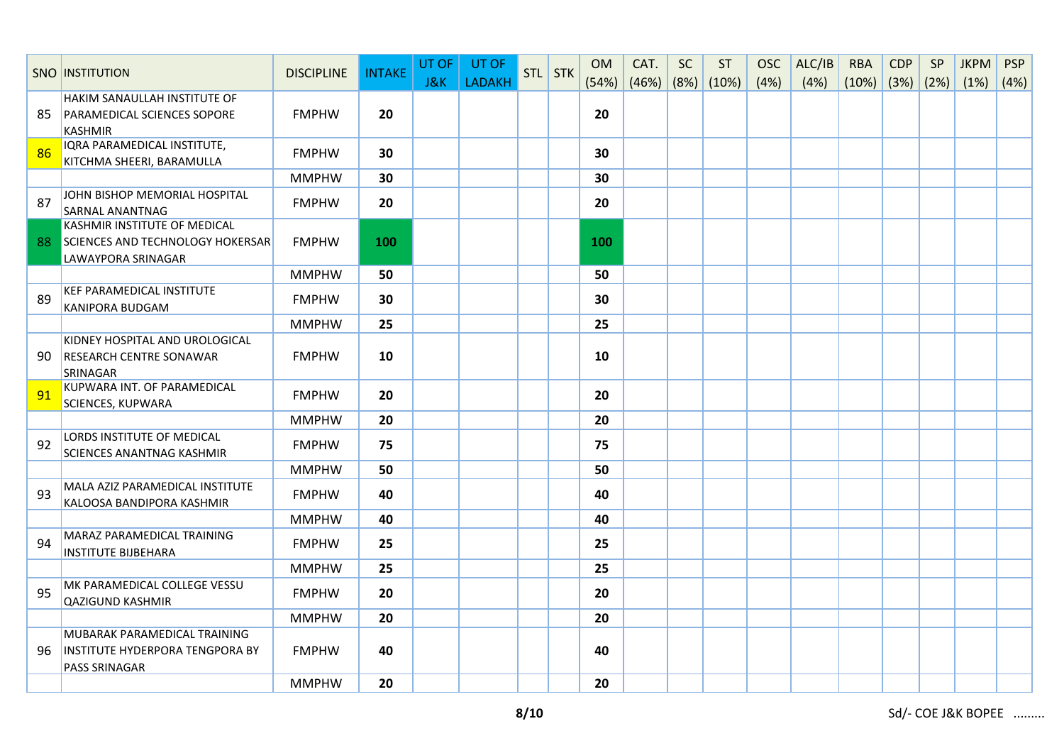|    | <b>SNO INSTITUTION</b>                                             | <b>DISCIPLINE</b> | <b>INTAKE</b> | UT OF          | UT OF         | STL STK | <b>OM</b> | CAT.               | <b>SC</b> | <b>ST</b> | <b>OSC</b> | ALC/IB | <b>RBA</b>         | <b>CDP</b> | SP | <b>JKPM</b> | <b>PSP</b> |
|----|--------------------------------------------------------------------|-------------------|---------------|----------------|---------------|---------|-----------|--------------------|-----------|-----------|------------|--------|--------------------|------------|----|-------------|------------|
|    |                                                                    |                   |               | <b>J&amp;K</b> | <b>LADAKH</b> |         | (54%)     | $(46%)$ (8%) (10%) |           |           | (4%)       | (4%)   | $(10\%)$ (3%) (2%) |            |    | (1%)        | (4%)       |
| 85 | HAKIM SANAULLAH INSTITUTE OF<br><b>PARAMEDICAL SCIENCES SOPORE</b> | <b>FMPHW</b>      | 20            |                |               |         | 20        |                    |           |           |            |        |                    |            |    |             |            |
|    | <b>KASHMIR</b>                                                     |                   |               |                |               |         |           |                    |           |           |            |        |                    |            |    |             |            |
|    | IQRA PARAMEDICAL INSTITUTE,                                        |                   |               |                |               |         |           |                    |           |           |            |        |                    |            |    |             |            |
| 86 | KITCHMA SHEERI, BARAMULLA                                          | <b>FMPHW</b>      | 30            |                |               |         | 30        |                    |           |           |            |        |                    |            |    |             |            |
|    |                                                                    | <b>MMPHW</b>      | 30            |                |               |         | 30        |                    |           |           |            |        |                    |            |    |             |            |
| 87 | JOHN BISHOP MEMORIAL HOSPITAL                                      | <b>FMPHW</b>      | 20            |                |               |         | 20        |                    |           |           |            |        |                    |            |    |             |            |
|    | <b>SARNAL ANANTNAG</b>                                             |                   |               |                |               |         |           |                    |           |           |            |        |                    |            |    |             |            |
|    | <b>KASHMIR INSTITUTE OF MEDICAL</b>                                |                   |               |                |               |         |           |                    |           |           |            |        |                    |            |    |             |            |
|    | 88 SCIENCES AND TECHNOLOGY HOKERSAR<br><b>LAWAYPORA SRINAGAR</b>   | <b>FMPHW</b>      | 100           |                |               |         | 100       |                    |           |           |            |        |                    |            |    |             |            |
|    |                                                                    | <b>MMPHW</b>      | 50            |                |               |         | 50        |                    |           |           |            |        |                    |            |    |             |            |
|    | <b>KEF PARAMEDICAL INSTITUTE</b>                                   |                   |               |                |               |         |           |                    |           |           |            |        |                    |            |    |             |            |
| 89 | KANIPORA BUDGAM                                                    | <b>FMPHW</b>      | 30            |                |               |         | 30        |                    |           |           |            |        |                    |            |    |             |            |
|    |                                                                    | <b>MMPHW</b>      | 25            |                |               |         | 25        |                    |           |           |            |        |                    |            |    |             |            |
|    | KIDNEY HOSPITAL AND UROLOGICAL                                     |                   |               |                |               |         |           |                    |           |           |            |        |                    |            |    |             |            |
| 90 | <b>RESEARCH CENTRE SONAWAR</b>                                     | <b>FMPHW</b>      | 10            |                |               |         | 10        |                    |           |           |            |        |                    |            |    |             |            |
|    | <b>SRINAGAR</b>                                                    |                   |               |                |               |         |           |                    |           |           |            |        |                    |            |    |             |            |
| 91 | KUPWARA INT. OF PARAMEDICAL                                        | <b>FMPHW</b>      | 20            |                |               |         | 20        |                    |           |           |            |        |                    |            |    |             |            |
|    | <b>SCIENCES, KUPWARA</b>                                           | <b>MMPHW</b>      | 20            |                |               |         | 20        |                    |           |           |            |        |                    |            |    |             |            |
|    | LORDS INSTITUTE OF MEDICAL                                         |                   |               |                |               |         |           |                    |           |           |            |        |                    |            |    |             |            |
| 92 | <b>SCIENCES ANANTNAG KASHMIR</b>                                   | <b>FMPHW</b>      | 75            |                |               |         | 75        |                    |           |           |            |        |                    |            |    |             |            |
|    |                                                                    | <b>MMPHW</b>      | 50            |                |               |         | 50        |                    |           |           |            |        |                    |            |    |             |            |
| 93 | MALA AZIZ PARAMEDICAL INSTITUTE                                    | <b>FMPHW</b>      | 40            |                |               |         | 40        |                    |           |           |            |        |                    |            |    |             |            |
|    | KALOOSA BANDIPORA KASHMIR                                          |                   |               |                |               |         |           |                    |           |           |            |        |                    |            |    |             |            |
|    |                                                                    | <b>MMPHW</b>      | 40            |                |               |         | 40        |                    |           |           |            |        |                    |            |    |             |            |
| 94 | MARAZ PARAMEDICAL TRAINING                                         | <b>FMPHW</b>      | 25            |                |               |         | 25        |                    |           |           |            |        |                    |            |    |             |            |
|    | <b>INSTITUTE BIJBEHARA</b>                                         |                   |               |                |               |         |           |                    |           |           |            |        |                    |            |    |             |            |
|    | MK PARAMEDICAL COLLEGE VESSU                                       | <b>MMPHW</b>      | 25            |                |               |         | 25        |                    |           |           |            |        |                    |            |    |             |            |
| 95 | <b>QAZIGUND KASHMIR</b>                                            | <b>FMPHW</b>      | 20            |                |               |         | 20        |                    |           |           |            |        |                    |            |    |             |            |
|    |                                                                    | <b>MMPHW</b>      | 20            |                |               |         | 20        |                    |           |           |            |        |                    |            |    |             |            |
|    | MUBARAK PARAMEDICAL TRAINING                                       |                   |               |                |               |         |           |                    |           |           |            |        |                    |            |    |             |            |
| 96 | INSTITUTE HYDERPORA TENGPORA BY                                    | <b>FMPHW</b>      | 40            |                |               |         | 40        |                    |           |           |            |        |                    |            |    |             |            |
|    | <b>PASS SRINAGAR</b>                                               |                   |               |                |               |         |           |                    |           |           |            |        |                    |            |    |             |            |
|    |                                                                    | <b>MMPHW</b>      | 20            |                |               |         | 20        |                    |           |           |            |        |                    |            |    |             |            |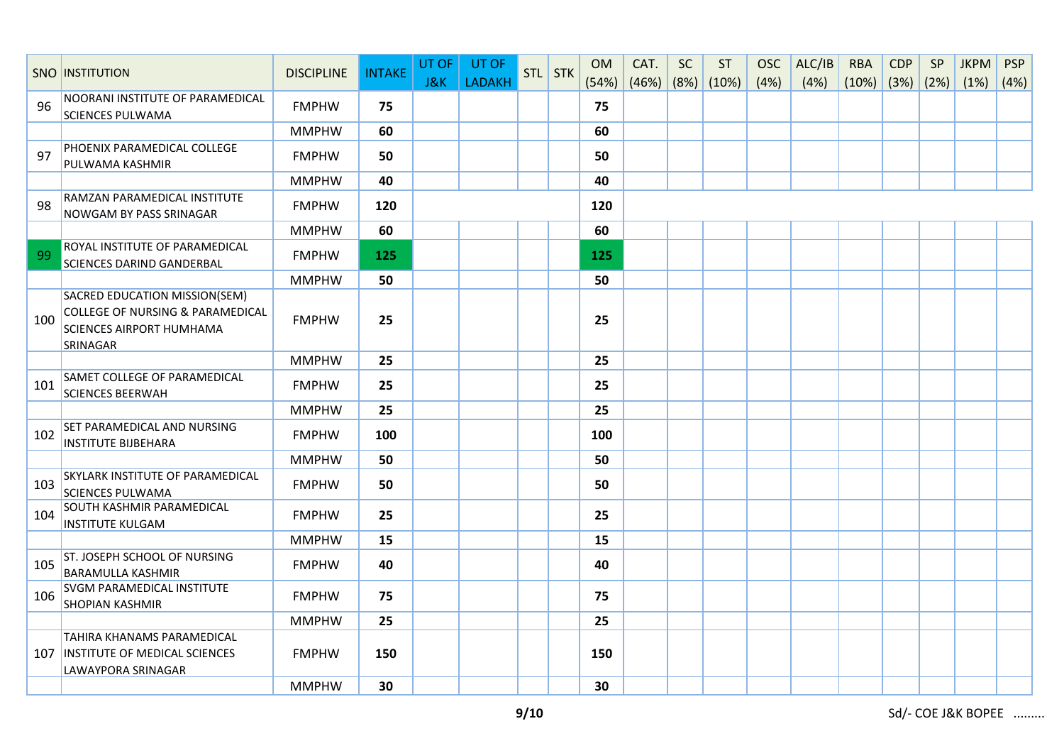|     | <b>SNO INSTITUTION</b>                                                                                                      | <b>DISCIPLINE</b> | <b>INTAKE</b> | UT OF          | UT OF         | STL STK | <b>OM</b> | CAT.               | SC | <b>ST</b> | <b>OSC</b> | ALC/IB | <b>RBA</b>               | <b>CDP</b> | SP | <b>JKPM</b> | <b>PSP</b> |
|-----|-----------------------------------------------------------------------------------------------------------------------------|-------------------|---------------|----------------|---------------|---------|-----------|--------------------|----|-----------|------------|--------|--------------------------|------------|----|-------------|------------|
|     |                                                                                                                             |                   |               | <b>J&amp;K</b> | <b>LADAKH</b> |         | (54%)     | $(46%)$ (8%) (10%) |    |           | (4%)       | (4%)   | $(10\%)$ $(3\%)$ $(2\%)$ |            |    | (1%)        | (4%)       |
| 96  | NOORANI INSTITUTE OF PARAMEDICAL<br><b>SCIENCES PULWAMA</b>                                                                 | <b>FMPHW</b>      | 75            |                |               |         | 75        |                    |    |           |            |        |                          |            |    |             |            |
|     |                                                                                                                             | <b>MMPHW</b>      | 60            |                |               |         | 60        |                    |    |           |            |        |                          |            |    |             |            |
| 97  | PHOENIX PARAMEDICAL COLLEGE<br>PULWAMA KASHMIR                                                                              | <b>FMPHW</b>      | 50            |                |               |         | 50        |                    |    |           |            |        |                          |            |    |             |            |
|     |                                                                                                                             | <b>MMPHW</b>      | 40            |                |               |         | 40        |                    |    |           |            |        |                          |            |    |             |            |
| 98  | RAMZAN PARAMEDICAL INSTITUTE<br><b>NOWGAM BY PASS SRINAGAR</b>                                                              | <b>FMPHW</b>      | 120           |                |               |         | 120       |                    |    |           |            |        |                          |            |    |             |            |
|     |                                                                                                                             | <b>MMPHW</b>      | 60            |                |               |         | 60        |                    |    |           |            |        |                          |            |    |             |            |
| 99  | ROYAL INSTITUTE OF PARAMEDICAL<br><b>SCIENCES DARIND GANDERBAL</b>                                                          | <b>FMPHW</b>      | 125           |                |               |         | 125       |                    |    |           |            |        |                          |            |    |             |            |
|     |                                                                                                                             | <b>MMPHW</b>      | 50            |                |               |         | 50        |                    |    |           |            |        |                          |            |    |             |            |
| 100 | SACRED EDUCATION MISSION(SEM)<br><b>COLLEGE OF NURSING &amp; PARAMEDICAL</b><br><b>SCIENCES AIRPORT HUMHAMA</b><br>SRINAGAR | <b>FMPHW</b>      | 25            |                |               |         | 25        |                    |    |           |            |        |                          |            |    |             |            |
|     |                                                                                                                             | <b>MMPHW</b>      | 25            |                |               |         | 25        |                    |    |           |            |        |                          |            |    |             |            |
| 101 | SAMET COLLEGE OF PARAMEDICAL<br><b>SCIENCES BEERWAH</b>                                                                     | <b>FMPHW</b>      | 25            |                |               |         | 25        |                    |    |           |            |        |                          |            |    |             |            |
|     |                                                                                                                             | <b>MMPHW</b>      | 25            |                |               |         | 25        |                    |    |           |            |        |                          |            |    |             |            |
| 102 | SET PARAMEDICAL AND NURSING<br><b>INSTITUTE BIJBEHARA</b>                                                                   | <b>FMPHW</b>      | 100           |                |               |         | 100       |                    |    |           |            |        |                          |            |    |             |            |
|     |                                                                                                                             | <b>MMPHW</b>      | 50            |                |               |         | 50        |                    |    |           |            |        |                          |            |    |             |            |
| 103 | <b>SKYLARK INSTITUTE OF PARAMEDICAL</b><br><b>SCIENCES PULWAMA</b>                                                          | <b>FMPHW</b>      | 50            |                |               |         | 50        |                    |    |           |            |        |                          |            |    |             |            |
| 104 | SOUTH KASHMIR PARAMEDICAL<br><b>INSTITUTE KULGAM</b>                                                                        | <b>FMPHW</b>      | 25            |                |               |         | 25        |                    |    |           |            |        |                          |            |    |             |            |
|     |                                                                                                                             | <b>MMPHW</b>      | 15            |                |               |         | 15        |                    |    |           |            |        |                          |            |    |             |            |
| 105 | ST. JOSEPH SCHOOL OF NURSING<br><b>BARAMULLA KASHMIR</b>                                                                    | <b>FMPHW</b>      | 40            |                |               |         | 40        |                    |    |           |            |        |                          |            |    |             |            |
| 106 | <b>SVGM PARAMEDICAL INSTITUTE</b><br><b>SHOPIAN KASHMIR</b>                                                                 | <b>FMPHW</b>      | 75            |                |               |         | 75        |                    |    |           |            |        |                          |            |    |             |            |
|     |                                                                                                                             | <b>MMPHW</b>      | 25            |                |               |         | 25        |                    |    |           |            |        |                          |            |    |             |            |
|     | <b>TAHIRA KHANAMS PARAMEDICAL</b><br>107 INSTITUTE OF MEDICAL SCIENCES<br>LAWAYPORA SRINAGAR                                | <b>FMPHW</b>      | 150           |                |               |         | 150       |                    |    |           |            |        |                          |            |    |             |            |
|     |                                                                                                                             | <b>MMPHW</b>      | 30            |                |               |         | 30        |                    |    |           |            |        |                          |            |    |             |            |